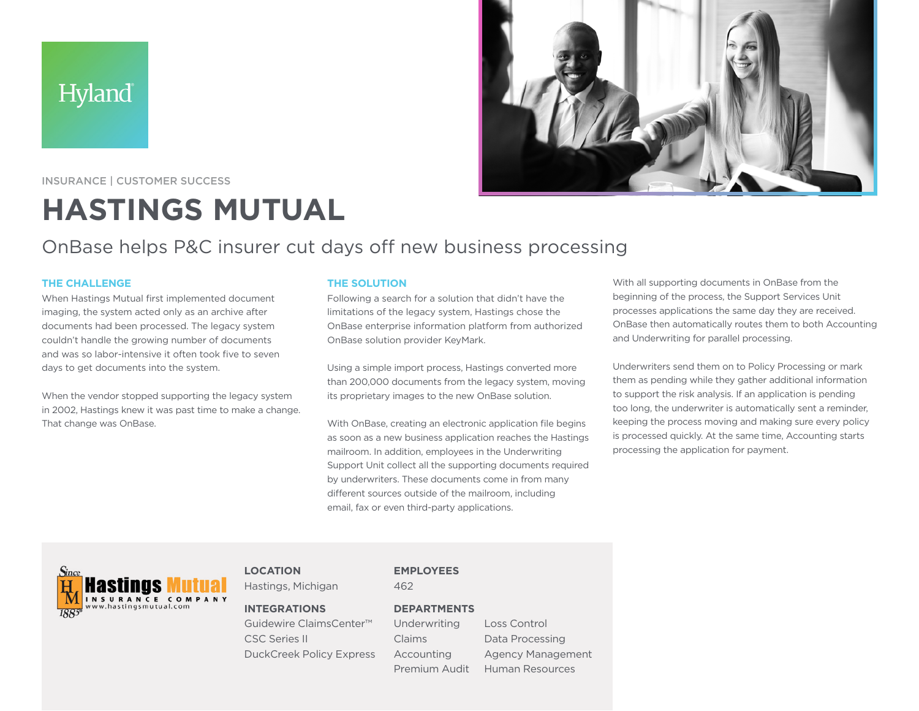**Hyland** 



INSURANCE | CUSTOMER SUCCESS

# **HASTINGS MUTUAL**

## OnBase helps P&C insurer cut days off new business processing

#### **THE CHALLENGE**

When Hastings Mutual first implemented document imaging, the system acted only as an archive after documents had been processed. The legacy system couldn't handle the growing number of documents and was so labor-intensive it often took five to seven days to get documents into the system.

When the vendor stopped supporting the legacy system in 2002, Hastings knew it was past time to make a change. That change was OnBase.

#### **THE SOLUTION**

Following a search for a solution that didn't have the limitations of the legacy system, Hastings chose the OnBase enterprise information platform from authorized OnBase solution provider KeyMark.

Using a simple import process, Hastings converted more than 200,000 documents from the legacy system, moving its proprietary images to the new OnBase solution.

With OnBase, creating an electronic application file begins as soon as a new business application reaches the Hastings mailroom. In addition, employees in the Underwriting Support Unit collect all the supporting documents required by underwriters. These documents come in from many different sources outside of the mailroom, including email, fax or even third-party applications.

With all supporting documents in OnBase from the beginning of the process, the Support Services Unit processes applications the same day they are received. OnBase then automatically routes them to both Accounting and Underwriting for parallel processing.

Underwriters send them on to Policy Processing or mark them as pending while they gather additional information to support the risk analysis. If an application is pending too long, the underwriter is automatically sent a reminder, keeping the process moving and making sure every policy is processed quickly. At the same time, Accounting starts processing the application for payment.



#### **LOCATION**

Hastings, Michigan

#### **INTEGRATIONS**

Guidewire ClaimsCenter™ CSC Series II DuckCreek Policy Express **EMPLOYEES**

### 462

**DEPARTMENTS** Claims

Underwriting Accounting Premium Audit

Loss Control Data Processing Agency Management Human Resources